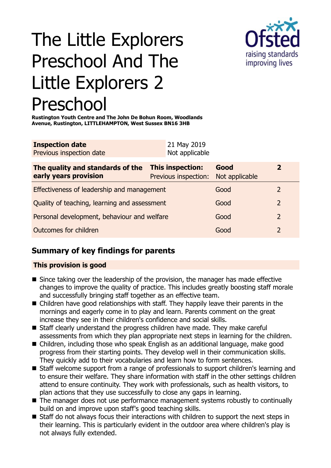# The Little Explorers Preschool And The Little Explorers 2 Preschool



**Rustington Youth Centre and The John De Bohun Room, Woodlands Avenue, Rustington, LITTLEHAMPTON, West Sussex BN16 3HB**

| <b>Inspection date</b>          | 21 May 2019    |
|---------------------------------|----------------|
| <b>Previous inspection date</b> | Not applicable |
|                                 |                |

| The quality and standards of the<br>early years provision | This inspection:<br>Previous inspection: | Good<br>Not applicable |               |
|-----------------------------------------------------------|------------------------------------------|------------------------|---------------|
| Effectiveness of leadership and management                |                                          | Good                   |               |
| Quality of teaching, learning and assessment              |                                          | Good                   | $\mathcal{L}$ |
| Personal development, behaviour and welfare               |                                          | Good                   | $\mathcal{L}$ |
| Outcomes for children                                     |                                          | Good                   |               |

## **Summary of key findings for parents**

## **This provision is good**

- $\blacksquare$  Since taking over the leadership of the provision, the manager has made effective changes to improve the quality of practice. This includes greatly boosting staff morale and successfully bringing staff together as an effective team.
- $\blacksquare$  Children have good relationships with staff. They happily leave their parents in the mornings and eagerly come in to play and learn. Parents comment on the great increase they see in their children's confidence and social skills.
- Staff clearly understand the progress children have made. They make careful assessments from which they plan appropriate next steps in learning for the children.
- $\blacksquare$  Children, including those who speak English as an additional language, make good progress from their starting points. They develop well in their communication skills. They quickly add to their vocabularies and learn how to form sentences.
- Staff welcome support from a range of professionals to support children's learning and to ensure their welfare. They share information with staff in the other settings children attend to ensure continuity. They work with professionals, such as health visitors, to plan actions that they use successfully to close any gaps in learning.
- $\blacksquare$  The manager does not use performance management systems robustly to continually build on and improve upon staff's good teaching skills.
- $\blacksquare$  Staff do not always focus their interactions with children to support the next steps in their learning. This is particularly evident in the outdoor area where children's play is not always fully extended.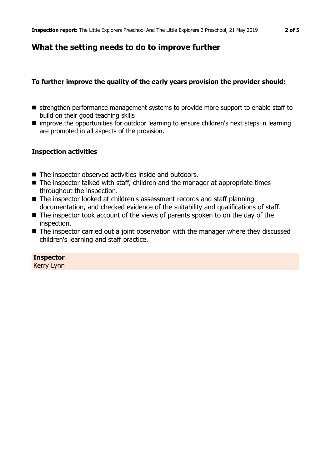## **What the setting needs to do to improve further**

## **To further improve the quality of the early years provision the provider should:**

- strengthen performance management systems to provide more support to enable staff to build on their good teaching skills
- **n** improve the opportunities for outdoor learning to ensure children's next steps in learning are promoted in all aspects of the provision.

## **Inspection activities**

- $\blacksquare$  The inspector observed activities inside and outdoors.
- $\blacksquare$  The inspector talked with staff, children and the manager at appropriate times throughout the inspection.
- The inspector looked at children's assessment records and staff planning documentation, and checked evidence of the suitability and qualifications of staff.
- $\blacksquare$  The inspector took account of the views of parents spoken to on the day of the inspection.
- $\blacksquare$  The inspector carried out a joint observation with the manager where they discussed children's learning and staff practice.

## **Inspector**

Kerry Lynn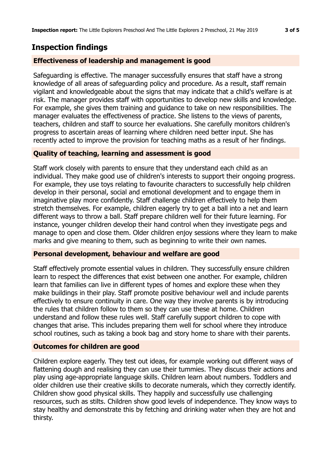## **Inspection findings**

#### **Effectiveness of leadership and management is good**

Safeguarding is effective. The manager successfully ensures that staff have a strong knowledge of all areas of safeguarding policy and procedure. As a result, staff remain vigilant and knowledgeable about the signs that may indicate that a child's welfare is at risk. The manager provides staff with opportunities to develop new skills and knowledge. For example, she gives them training and guidance to take on new responsibilities. The manager evaluates the effectiveness of practice. She listens to the views of parents, teachers, children and staff to source her evaluations. She carefully monitors children's progress to ascertain areas of learning where children need better input. She has recently acted to improve the provision for teaching maths as a result of her findings.

## **Quality of teaching, learning and assessment is good**

Staff work closely with parents to ensure that they understand each child as an individual. They make good use of children's interests to support their ongoing progress. For example, they use toys relating to favourite characters to successfully help children develop in their personal, social and emotional development and to engage them in imaginative play more confidently. Staff challenge children effectively to help them stretch themselves. For example, children eagerly try to get a ball into a net and learn different ways to throw a ball. Staff prepare children well for their future learning. For instance, younger children develop their hand control when they investigate pegs and manage to open and close them. Older children enjoy sessions where they learn to make marks and give meaning to them, such as beginning to write their own names.

#### **Personal development, behaviour and welfare are good**

Staff effectively promote essential values in children. They successfully ensure children learn to respect the differences that exist between one another. For example, children learn that families can live in different types of homes and explore these when they make buildings in their play. Staff promote positive behaviour well and include parents effectively to ensure continuity in care. One way they involve parents is by introducing the rules that children follow to them so they can use these at home. Children understand and follow these rules well. Staff carefully support children to cope with changes that arise. This includes preparing them well for school where they introduce school routines, such as taking a book bag and story home to share with their parents.

#### **Outcomes for children are good**

Children explore eagerly. They test out ideas, for example working out different ways of flattening dough and realising they can use their tummies. They discuss their actions and play using age-appropriate language skills. Children learn about numbers. Toddlers and older children use their creative skills to decorate numerals, which they correctly identify. Children show good physical skills. They happily and successfully use challenging resources, such as stilts. Children show good levels of independence. They know ways to stay healthy and demonstrate this by fetching and drinking water when they are hot and thirsty.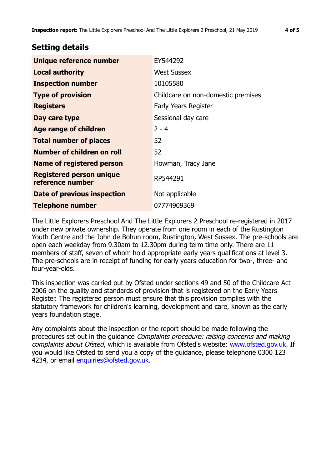## **Setting details**

| Unique reference number                             | EY544292                           |
|-----------------------------------------------------|------------------------------------|
| <b>Local authority</b>                              | <b>West Sussex</b>                 |
| <b>Inspection number</b>                            | 10105580                           |
| <b>Type of provision</b>                            | Childcare on non-domestic premises |
| <b>Registers</b>                                    | Early Years Register               |
| Day care type                                       | Sessional day care                 |
| Age range of children                               | $2 - 4$                            |
| <b>Total number of places</b>                       | 52                                 |
| Number of children on roll                          | 52                                 |
| Name of registered person                           | Howman, Tracy Jane                 |
| <b>Registered person unique</b><br>reference number | RP544291                           |
| Date of previous inspection                         | Not applicable                     |
| <b>Telephone number</b>                             | 07774909369                        |

The Little Explorers Preschool And The Little Explorers 2 Preschool re-registered in 2017 under new private ownership. They operate from one room in each of the Rustington Youth Centre and the John de Bohun room, Rustington, West Sussex. The pre-schools are open each weekday from 9.30am to 12.30pm during term time only. There are 11 members of staff, seven of whom hold appropriate early years qualifications at level 3. The pre-schools are in receipt of funding for early years education for two-, three- and four-year-olds.

This inspection was carried out by Ofsted under sections 49 and 50 of the Childcare Act 2006 on the quality and standards of provision that is registered on the Early Years Register. The registered person must ensure that this provision complies with the statutory framework for children's learning, development and care, known as the early years foundation stage.

Any complaints about the inspection or the report should be made following the procedures set out in the guidance Complaints procedure: raising concerns and making complaints about Ofsted, which is available from Ofsted's website: www.ofsted.gov.uk. If you would like Ofsted to send you a copy of the guidance, please telephone 0300 123 4234, or email [enquiries@ofsted.gov.uk.](mailto:enquiries@ofsted.gov.uk)